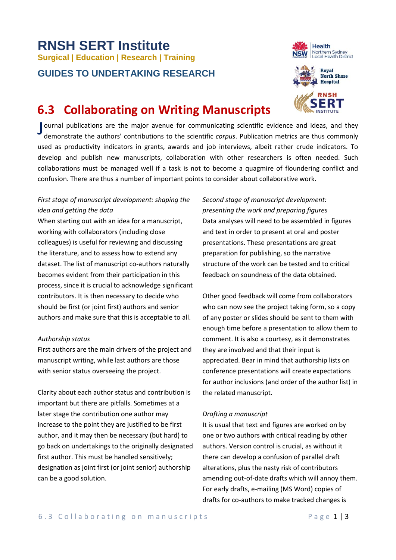# **RNSH SERT Institute Surgical | Education | Research | Training**

# **GUIDES TO UNDERTAKING RESEARCH**





# **6.3 Collaborating on Writing Manuscripts**

Journal publications are the major avenue for communicating scientific evidence and ideas, and they<br>demonstrate the authors' contributions to the scientific *corpus*. Publication metrics are thus commonly demonstrate the authors' contributions to the scientific *corpus*. Publication metrics are thus commonly used as productivity indicators in grants, awards and job interviews, albeit rather crude indicators. To develop and publish new manuscripts, collaboration with other researchers is often needed. Such collaborations must be managed well if a task is not to become a quagmire of floundering conflict and confusion. There are thus a number of important points to consider about collaborative work.

# *First stage of manuscript development: shaping the idea and getting the data*

When starting out with an idea for a manuscript, working with collaborators (including close colleagues) is useful for reviewing and discussing the literature, and to assess how to extend any dataset. The list of manuscript co-authors naturally becomes evident from their participation in this process, since it is crucial to acknowledge significant contributors. It is then necessary to decide who should be first (or joint first) authors and senior authors and make sure that this is acceptable to all.

## *Authorship status*

First authors are the main drivers of the project and manuscript writing, while last authors are those with senior status overseeing the project.

Clarity about each author status and contribution is important but there are pitfalls. Sometimes at a later stage the contribution one author may increase to the point they are justified to be first author, and it may then be necessary (but hard) to go back on undertakings to the originally designated first author. This must be handled sensitively; designation as joint first (or joint senior) authorship can be a good solution.

*Second stage of manuscript development: presenting the work and preparing figures* Data analyses will need to be assembled in figures and text in order to present at oral and poster presentations. These presentations are great preparation for publishing, so the narrative structure of the work can be tested and to critical feedback on soundness of the data obtained.

Other good feedback will come from collaborators who can now see the project taking form, so a copy of any poster or slides should be sent to them with enough time before a presentation to allow them to comment. It is also a courtesy, as it demonstrates they are involved and that their input is appreciated. Bear in mind that authorship lists on conference presentations will create expectations for author inclusions (and order of the author list) in the related manuscript.

## *Drafting a manuscript*

It is usual that text and figures are worked on by one or two authors with critical reading by other authors. Version control is crucial, as without it there can develop a confusion of parallel draft alterations, plus the nasty risk of contributors amending out-of-date drafts which will annoy them. For early drafts, e-mailing (MS Word) copies of drafts for co-authors to make tracked changes is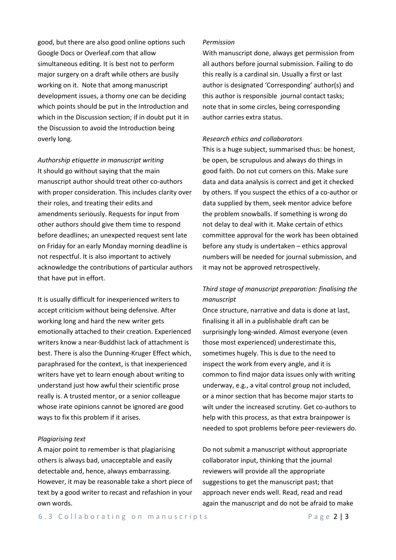good, but there are also good online options such Google Docs or Overleaf.com that allow simultaneous editing. It is best not to perform major surgery on a draft while others are busily working on it. Note that among manuscript development issues, a thorny one can be deciding which points should be put in the Introduction and which in the Discussion section; if in doubt put it in the Discussion to avoid the Introduction being overly long.

*Authorship etiquette in manuscript writing* It should go without saying that the main manuscript author should treat other co-authors with proper consideration. This includes clarity over their roles, and treating their edits and amendments seriously. Requests for input from other authors should give them time to respond before deadlines; an unexpected request sent late on Friday for an early Monday morning deadline is not respectful. It is also important to actively acknowledge the contributions of particular authors that have put in effort.

It is usually difficult for inexperienced writers to accept criticism without being defensive. After working long and hard the new writer gets emotionally attached to their creation. Experienced writers know a near-Buddhist lack of attachment is best. There is also the Dunning-Kruger Effect which, paraphrased for the context, is that inexperienced writers have yet to learn enough about writing to understand just how awful their scientific prose really is. A trusted mentor, or a senior colleague whose irate opinions cannot be ignored are good ways to fix this problem if it arises.

#### *Plagiarising text*

A major point to remember is that plagiarising others is always bad, unacceptable and easily detectable and, hence, always embarrassing. However, it may be reasonable take a short piece of text by a good writer to recast and refashion in your own words.

#### *Permission*

With manuscript done, always get permission from all authors before journal submission. Failing to do this really is a cardinal sin. Usually a first or last author is designated 'Corresponding' author(s) and this author is responsible journal contact tasks; note that in some circles, being corresponding author carries extra status.

#### *Research ethics and collaborators*

This is a huge subject, summarised thus: be honest, be open, be scrupulous and always do things in good faith. Do not cut corners on this. Make sure data and data analysis is correct and get it checked by others. If you suspect the ethics of a co-author or data supplied by them, seek mentor advice before the problem snowballs. If something is wrong do not delay to deal with it. Make certain of ethics committee approval for the work has been obtained before any study is undertaken – ethics approval numbers will be needed for journal submission, and it may not be approved retrospectively.

# *Third stage of manuscript preparation: finalising the manuscript*

Once structure, narrative and data is done at last, finalising it all in a publishable draft can be surprisingly long-winded. Almost everyone (even those most experienced) underestimate this, sometimes hugely. This is due to the need to inspect the work from every angle, and it is common to find major data issues only with writing underway, e.g., a vital control group not included, or a minor section that has become major starts to wilt under the increased scrutiny. Get co-authors to help with this process, as that extra brainpower is needed to spot problems before peer-reviewers do.

Do not submit a manuscript without appropriate collaborator input, thinking that the journal reviewers will provide all the appropriate suggestions to get the manuscript past; that approach never ends well. Read, read and read again the manuscript and do not be afraid to make